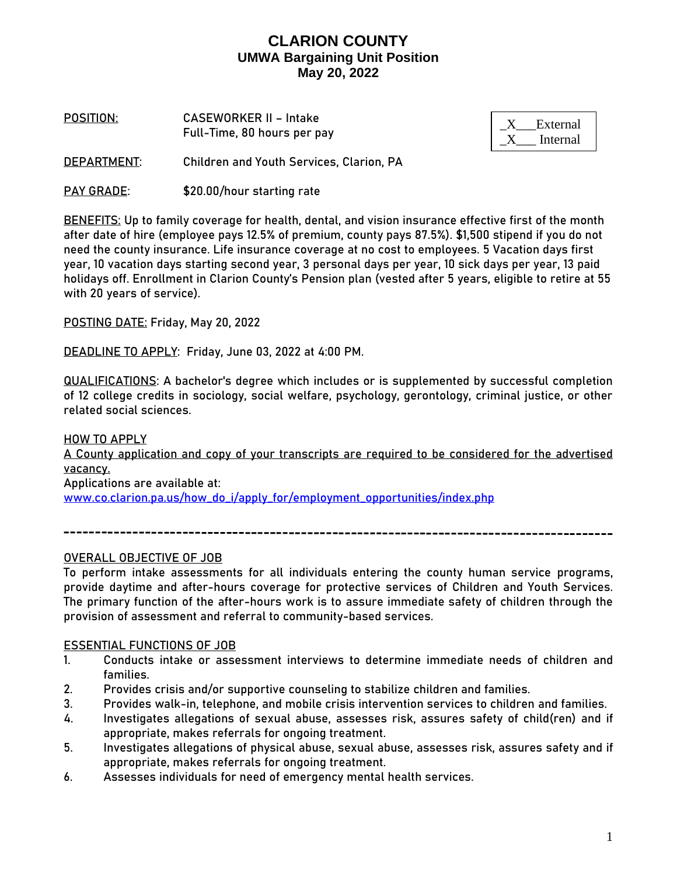**POSITION**: **CASEWORKER II – Intake**  Full-Time, 80 hours per pay

| External |
|----------|
| Internal |

**DEPARTMENT**: Children and Youth Services, Clarion, PA

PAY GRADE: \$20.00/hour starting rate

**BENEFITS:** Up to family coverage for health, dental, and vision insurance effective first of the month after date of hire (employee pays 12.5% of premium, county pays 87.5%). \$1,500 stipend if you do not need the county insurance. Life insurance coverage at no cost to employees. 5 Vacation days first year, 10 vacation days starting second year, 3 personal days per year, 10 sick days per year, 13 paid holidays off. Enrollment in Clarion County's Pension plan (vested after 5 years, eligible to retire at 55 with 20 years of service).

**POSTING DATE:** Friday, May 20, 2022

**DEADLINE TO APPLY:** Friday, June 03, 2022 at 4:00 PM.

**QUALIFICATIONS:** A bachelor's degree which includes or is supplemented by successful completion of 12 college credits in sociology, social welfare, psychology, gerontology, criminal justice, or other related social sciences.

### **HOW TO APPLY**

A County application and copy of your transcripts are required to be considered for the advertised vacancy. Applications are available at:

[www.co.clarion.pa.us/how\\_do\\_i/apply\\_for/employment\\_opportunities/index.php](http://www.co.clarion.pa.us/how_do_i/apply_for/employment_opportunities/index.php)

### OVERALL OBJECTIVE OF JOB

To perform intake assessments for all individuals entering the county human service programs, provide daytime and after-hours coverage for protective services of Children and Youth Services. The primary function of the after-hours work is to assure immediate safety of children through the provision of assessment and referral to community-based services.

### ESSENTIAL FUNCTIONS OF JOB

- 1. Conducts intake or assessment interviews to determine immediate needs of children and families.
- 2. Provides crisis and/or supportive counseling to stabilize children and families.
- 3. Provides walk-in, telephone, and mobile crisis intervention services to children and families.
- 4. Investigates allegations of sexual abuse, assesses risk, assures safety of child(ren) and if appropriate, makes referrals for ongoing treatment.
- 5. Investigates allegations of physical abuse, sexual abuse, assesses risk, assures safety and if appropriate, makes referrals for ongoing treatment.
- 6. Assesses individuals for need of emergency mental health services.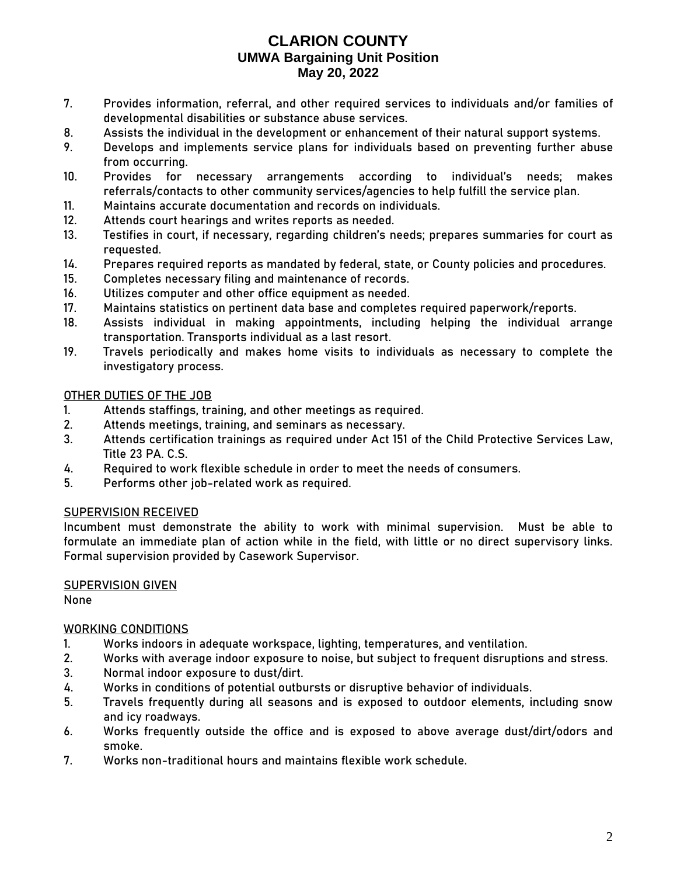- 7. Provides information, referral, and other required services to individuals and/or families of developmental disabilities or substance abuse services.
- 8. Assists the individual in the development or enhancement of their natural support systems.
- 9. Develops and implements service plans for individuals based on preventing further abuse from occurring.
- 10. Provides for necessary arrangements according to individual's needs; makes referrals/contacts to other community services/agencies to help fulfill the service plan.
- 11. Maintains accurate documentation and records on individuals.
- 12. Attends court hearings and writes reports as needed.
- 13. Testifies in court, if necessary, regarding children's needs; prepares summaries for court as requested.
- 14. Prepares required reports as mandated by federal, state, or County policies and procedures.
- 15. Completes necessary filing and maintenance of records.
- 16. Utilizes computer and other office equipment as needed.
- 17. Maintains statistics on pertinent data base and completes required paperwork/reports.
- 18. Assists individual in making appointments, including helping the individual arrange transportation. Transports individual as a last resort.
- 19. Travels periodically and makes home visits to individuals as necessary to complete the investigatory process.

### OTHER DUTIES OF THE JOB

- 1. Attends staffings, training, and other meetings as required.
- 2. Attends meetings, training, and seminars as necessary.
- 3. Attends certification trainings as required under Act 151 of the Child Protective Services Law, Title 23 PA. C.S.
- 4. Required to work flexible schedule in order to meet the needs of consumers.
- 5. Performs other job-related work as required.

### SUPERVISION RECEIVED

Incumbent must demonstrate the ability to work with minimal supervision. Must be able to formulate an immediate plan of action while in the field, with little or no direct supervisory links. Formal supervision provided by Casework Supervisor.

### SUPERVISION GIVEN

None

### WORKING CONDITIONS

- 1. Works indoors in adequate workspace, lighting, temperatures, and ventilation.
- 2. Works with average indoor exposure to noise, but subject to frequent disruptions and stress.
- 3. Normal indoor exposure to dust/dirt.
- 4. Works in conditions of potential outbursts or disruptive behavior of individuals.
- 5. Travels frequently during all seasons and is exposed to outdoor elements, including snow and icy roadways.
- 6. Works frequently outside the office and is exposed to above average dust/dirt/odors and smoke.
- 7. Works non-traditional hours and maintains flexible work schedule.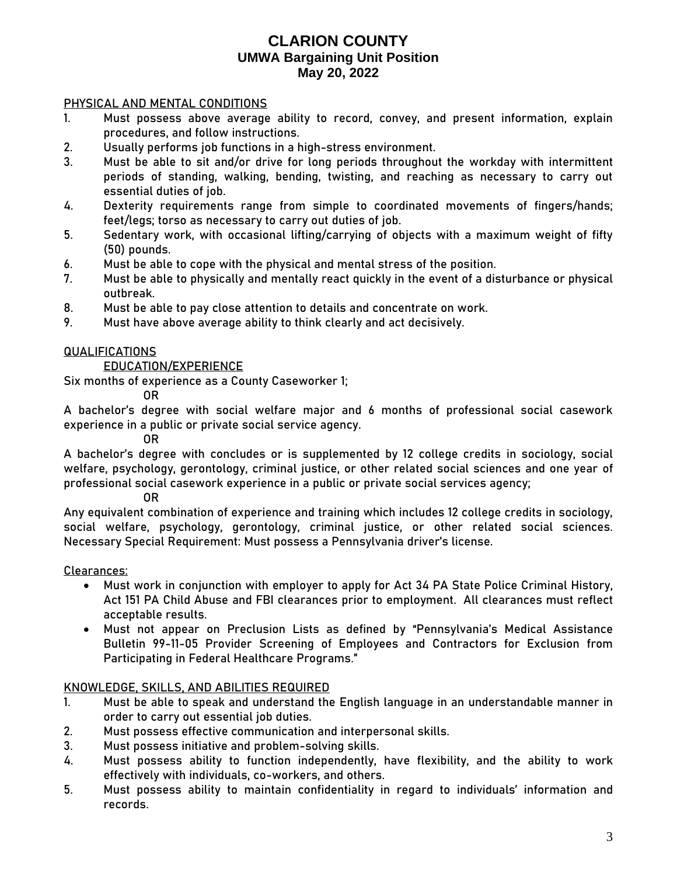### PHYSICAL AND MENTAL CONDITIONS

- 1. Must possess above average ability to record, convey, and present information, explain procedures, and follow instructions.
- 2. Usually performs job functions in a high-stress environment.
- 3. Must be able to sit and/or drive for long periods throughout the workday with intermittent periods of standing, walking, bending, twisting, and reaching as necessary to carry out essential duties of job.
- 4. Dexterity requirements range from simple to coordinated movements of fingers/hands; feet/legs; torso as necessary to carry out duties of job.
- 5. Sedentary work, with occasional lifting/carrying of objects with a maximum weight of fifty (50) pounds.
- 6. Must be able to cope with the physical and mental stress of the position.
- 7. Must be able to physically and mentally react quickly in the event of a disturbance or physical outbreak.
- 8. Must be able to pay close attention to details and concentrate on work.
- 9. Must have above average ability to think clearly and act decisively.

### **QUALIFICATIONS**

#### EDUCATION/EXPERIENCE

Six months of experience as a County Caseworker 1;

OR

A bachelor's degree with social welfare major and 6 months of professional social casework experience in a public or private social service agency.

OR

A bachelor's degree with concludes or is supplemented by 12 college credits in sociology, social welfare, psychology, gerontology, criminal justice, or other related social sciences and one year of professional social casework experience in a public or private social services agency;

OR

Any equivalent combination of experience and training which includes 12 college credits in sociology, social welfare, psychology, gerontology, criminal justice, or other related social sciences. Necessary Special Requirement: Must possess a Pennsylvania driver's license.

### Clearances:

- Must work in conjunction with employer to apply for Act 34 PA State Police Criminal History, Act 151 PA Child Abuse and FBI clearances prior to employment. All clearances must reflect acceptable results.
- Must not appear on Preclusion Lists as defined by "Pennsylvania's Medical Assistance Bulletin 99-11-05 Provider Screening of Employees and Contractors for Exclusion from Participating in Federal Healthcare Programs."

### KNOWLEDGE, SKILLS, AND ABILITIES REQUIRED

- 1. Must be able to speak and understand the English language in an understandable manner in order to carry out essential job duties.
- 2. Must possess effective communication and interpersonal skills.
- 3. Must possess initiative and problem-solving skills.
- 4. Must possess ability to function independently, have flexibility, and the ability to work effectively with individuals, co-workers, and others.
- 5. Must possess ability to maintain confidentiality in regard to individuals' information and records.